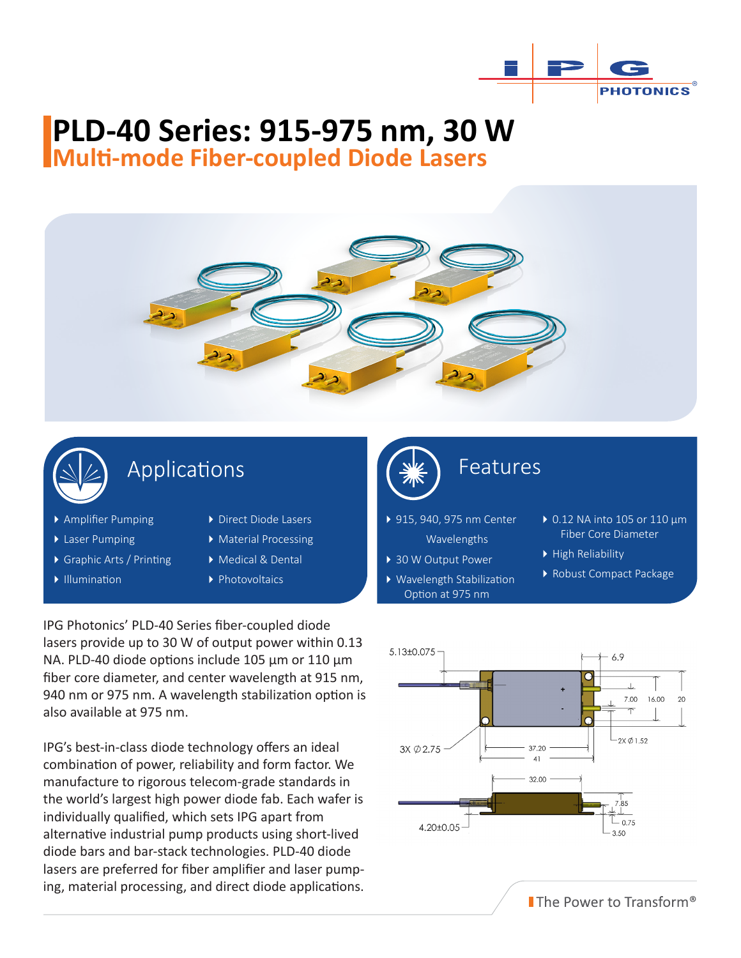

# **PLD-40 Series: 915-975 nm, 30 W**

**Multi-mode Fiber-coupled Diode Lasers**





#### Applications

- Amplifier Pumping
- ▶ Laser Pumping
- Graphic Arts / Printing
- $\blacktriangleright$  Illumination
- ▶ Direct Diode Lasers
- Material Processing
- Medical & Dental
	- ▶ Photovoltaics

IPG Photonics' PLD-40 Series fiber-coupled diode lasers provide up to 30 W of output power within 0.13 NA. PLD-40 diode options include 105 μm or 110 μm fiber core diameter, and center wavelength at 915 nm, 940 nm or 975 nm. A wavelength stabilization option is also available at 975 nm.

IPG's best-in-class diode technology offers an ideal combination of power, reliability and form factor. We manufacture to rigorous telecom-grade standards in the world's largest high power diode fab. Each wafer is individually qualified, which sets IPG apart from alternative industrial pump products using short-lived diode bars and bar-stack technologies. PLD-40 diode lasers are preferred for fiber amplifier and laser pumping, material processing, and direct diode applications.



### Features Features

- ▶ 915, 940, 975 nm Center Wavelengths
- ▶ 30 W Output Power
- Wavelength Stabilization Option at 975 nm
- 0.12 NA into 105 or 110 μm Fiber Core Diameter
- High Reliability
- Robust Compact Package